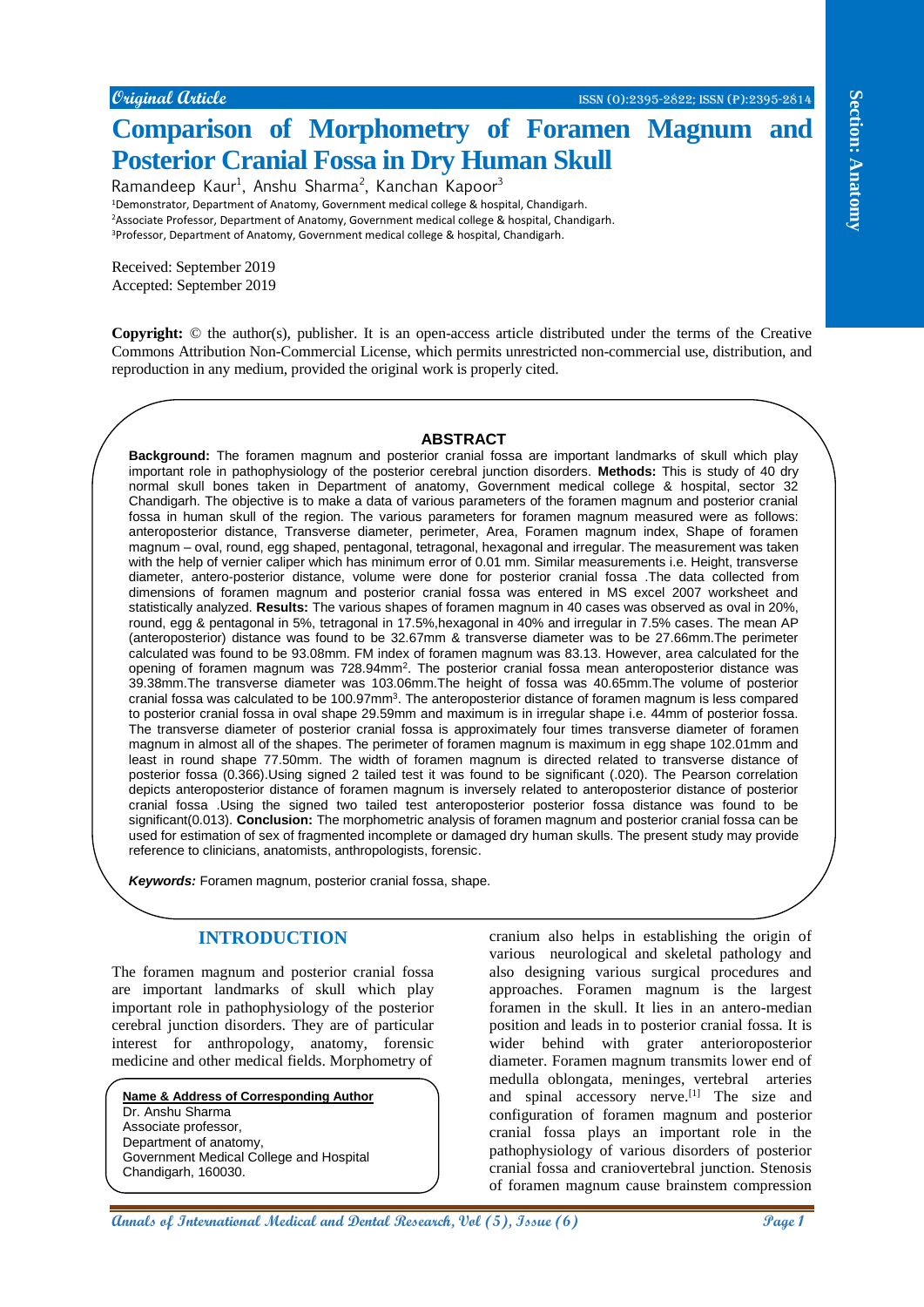# **Comparison of Morphometry of Foramen Magnum and Posterior Cranial Fossa in Dry Human Skull**

Ramandeep Kaur<sup>1</sup>, Anshu Sharma<sup>2</sup>, Kanchan Kapoor<sup>3</sup>

<sup>1</sup>Demonstrator, Department of Anatomy, Government medical college & hospital, Chandigarh. <sup>2</sup>Associate Professor, Department of Anatomy, Government medical college & hospital, Chandigarh. <sup>3</sup>Professor, Department of Anatomy, Government medical college & hospital, Chandigarh.

Received: September 2019 Accepted: September 2019

**Copyright:** © the author(s), publisher. It is an open-access article distributed under the terms of the Creative Commons Attribution Non-Commercial License, which permits unrestricted non-commercial use, distribution, and reproduction in any medium, provided the original work is properly cited.

# **ABSTRACT ABSTRACT**

**Constrained Contact Constrained Contact Constrained Constrained Constrained Constrained Constrained Constrained Constrained Constrained Constrained Constrained Constrained Constrained Constrained Constrained Constrained C Background:** The foramen magnum and posterior cranial fossa are important landmarks of skull which play important role in pathophysiology of the posterior cerebral junction disorders. **Methods:** This is study of 40 dry normal skull bones taken in Department of anatomy, Government medical college & hospital, sector 32 Chandigarh. The objective is to make a data of various parameters of the foramen magnum and posterior cranial fossa in human skull of the region. The various parameters for foramen magnum measured were as follows: anteroposterior distance, Transverse diameter, perimeter, Area, Foramen magnum index, Shape of foramen magnum – oval, round, egg shaped, pentagonal, tetragonal, hexagonal and irregular. The measurement was taken with the help of vernier caliper which has minimum error of 0.01 mm. Similar measurements i.e. Height, transverse diameter, antero-posterior distance, volume were done for posterior cranial fossa .The data collected from dimensions of foramen magnum and posterior cranial fossa was entered in MS excel 2007 worksheet and statistically analyzed. **Results:** The various shapes of foramen magnum in 40 cases was observed as oval in 20%, round, egg & pentagonal in 5%, tetragonal in 17.5%, hexagonal in 40% and irregular in 7.5% cases. The mean AP (anteroposterior) distance was found to be 32.67mm & transverse diameter was to be 27.66mm.The perimeter calculated was found to be 93.08mm. FM index of foramen magnum was 83.13. However, area calculated for the opening of foramen magnum was 728.94mm<sup>2</sup>. The posterior cranial fossa mean anteroposterior distance was 39.38mm.The transverse diameter was 103.06mm.The height of fossa was 40.65mm.The volume of posterior cranial fossa was calculated to be 100.97mm<sup>3</sup>. The anteroposterior distance of foramen magnum is less compared to posterior cranial fossa in oval shape 29.59mm and maximum is in irregular shape i.e. 44mm of posterior fossa. The transverse diameter of posterior cranial fossa is approximately four times transverse diameter of foramen magnum in almost all of the shapes. The perimeter of foramen magnum is maximum in egg shape 102.01mm and least in round shape 77.50mm. The width of foramen magnum is directed related to transverse distance of posterior fossa (0.366).Using signed 2 tailed test it was found to be significant (.020). The Pearson correlation depicts anteroposterior distance of foramen magnum is inversely related to anteroposterior distance of posterior cranial fossa .Using the signed two tailed test anteroposterior posterior fossa distance was found to be significant(0.013). **Conclusion:** The morphometric analysis of foramen magnum and posterior cranial fossa can be used for estimation of sex of fragmented incomplete or damaged dry human skulls. The present study may provide reference to clinicians, anatomists, anthropologists, forensic.

*Keywords:* Foramen magnum, posterior cranial fossa, shape.

# **INTRODUCTION**

The foramen magnum and posterior cranial fossa are important landmarks of skull which play important role in pathophysiology of the posterior cerebral junction disorders. They are of particular interest for anthropology, anatomy, forensic medicine and other medical fields. Morphometry of

**Name & Address of Corresponding Author** Dr. Anshu Sharma Associate professor, Department of anatomy, Government Medical College and Hospital Chandigarh, 160030.

cranium also helps in establishing the origin of various neurological and skeletal pathology and also designing various surgical procedures and approaches. Foramen magnum is the largest foramen in the skull. It lies in an antero-median position and leads in to posterior cranial fossa. It is wider behind with grater anterioroposterior diameter. Foramen magnum transmits lower end of medulla oblongata, meninges, vertebral arteries and spinal accessory nerve.<sup>[1]</sup> The size and configuration of foramen magnum and posterior cranial fossa plays an important role in the pathophysiology of various disorders of posterior cranial fossa and craniovertebral junction. Stenosis of foramen magnum cause brainstem compression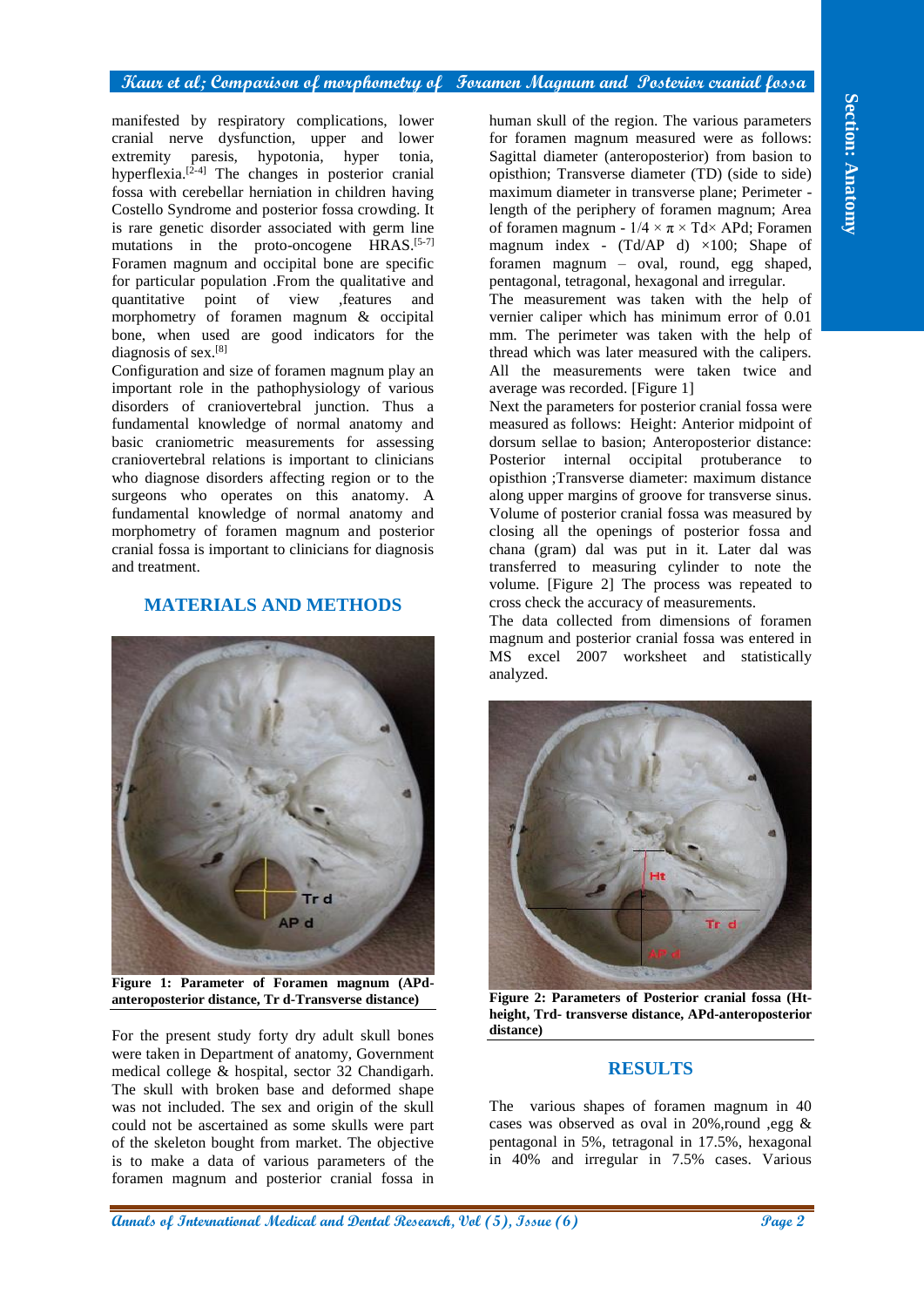#### **Kaur et al; Comparison of morphometry of Foramen Magnum and Posterior cranial fossa**

manifested by respiratory complications, lower cranial nerve dysfunction, upper and lower extremity paresis, hypotonia, hyper tonia, hyperflexia.<sup>[2-4]</sup> The changes in posterior cranial fossa with cerebellar herniation in children having Costello Syndrome and posterior fossa crowding. It is rare genetic disorder associated with germ line mutations in the proto-oncogene HRAS.<sup>[5-7]</sup> Foramen magnum and occipital bone are specific for particular population .From the qualitative and quantitative point of view ,features and morphometry of foramen magnum & occipital bone, when used are good indicators for the diagnosis of sex.[8]

Configuration and size of foramen magnum play an important role in the pathophysiology of various disorders of craniovertebral junction. Thus a fundamental knowledge of normal anatomy and basic craniometric measurements for assessing craniovertebral relations is important to clinicians who diagnose disorders affecting region or to the surgeons who operates on this anatomy. A fundamental knowledge of normal anatomy and morphometry of foramen magnum and posterior cranial fossa is important to clinicians for diagnosis and treatment.

# **MATERIALS AND METHODS**



**Figure 1: Parameter of Foramen magnum (APdanteroposterior distance, Tr d-Transverse distance)**

For the present study forty dry adult skull bones were taken in Department of anatomy, Government medical college & hospital, sector 32 Chandigarh. The skull with broken base and deformed shape was not included. The sex and origin of the skull could not be ascertained as some skulls were part of the skeleton bought from market. The objective is to make a data of various parameters of the foramen magnum and posterior cranial fossa in human skull of the region. The various parameters for foramen magnum measured were as follows: Sagittal diameter (anteroposterior) from basion to opisthion; Transverse diameter (TD) (side to side) maximum diameter in transverse plane; Perimeter length of the periphery of foramen magnum; Area of foramen magnum -  $1/4 \times \pi \times Td \times APd$ ; Foramen magnum index - (Td/AP d) ×100; Shape of foramen magnum – oval, round, egg shaped, pentagonal, tetragonal, hexagonal and irregular.

The measurement was taken with the help of vernier caliper which has minimum error of 0.01 mm. The perimeter was taken with the help of thread which was later measured with the calipers. All the measurements were taken twice and average was recorded. [Figure 1]

Next the parameters for posterior cranial fossa were measured as follows: Height: Anterior midpoint of dorsum sellae to basion; Anteroposterior distance: Posterior internal occipital protuberance to opisthion ;Transverse diameter: maximum distance along upper margins of groove for transverse sinus. Volume of posterior cranial fossa was measured by closing all the openings of posterior fossa and chana (gram) dal was put in it. Later dal was transferred to measuring cylinder to note the volume. [Figure 2] The process was repeated to cross check the accuracy of measurements.

The data collected from dimensions of foramen magnum and posterior cranial fossa was entered in MS excel 2007 worksheet and statistically analyzed.



**Figure 2: Parameters of Posterior cranial fossa (Htheight, Trd- transverse distance, APd-anteroposterior distance)**

#### **RESULTS**

The various shapes of foramen magnum in 40 cases was observed as oval in 20%,round ,egg & pentagonal in 5%, tetragonal in 17.5%, hexagonal in 40% and irregular in 7.5% cases. Various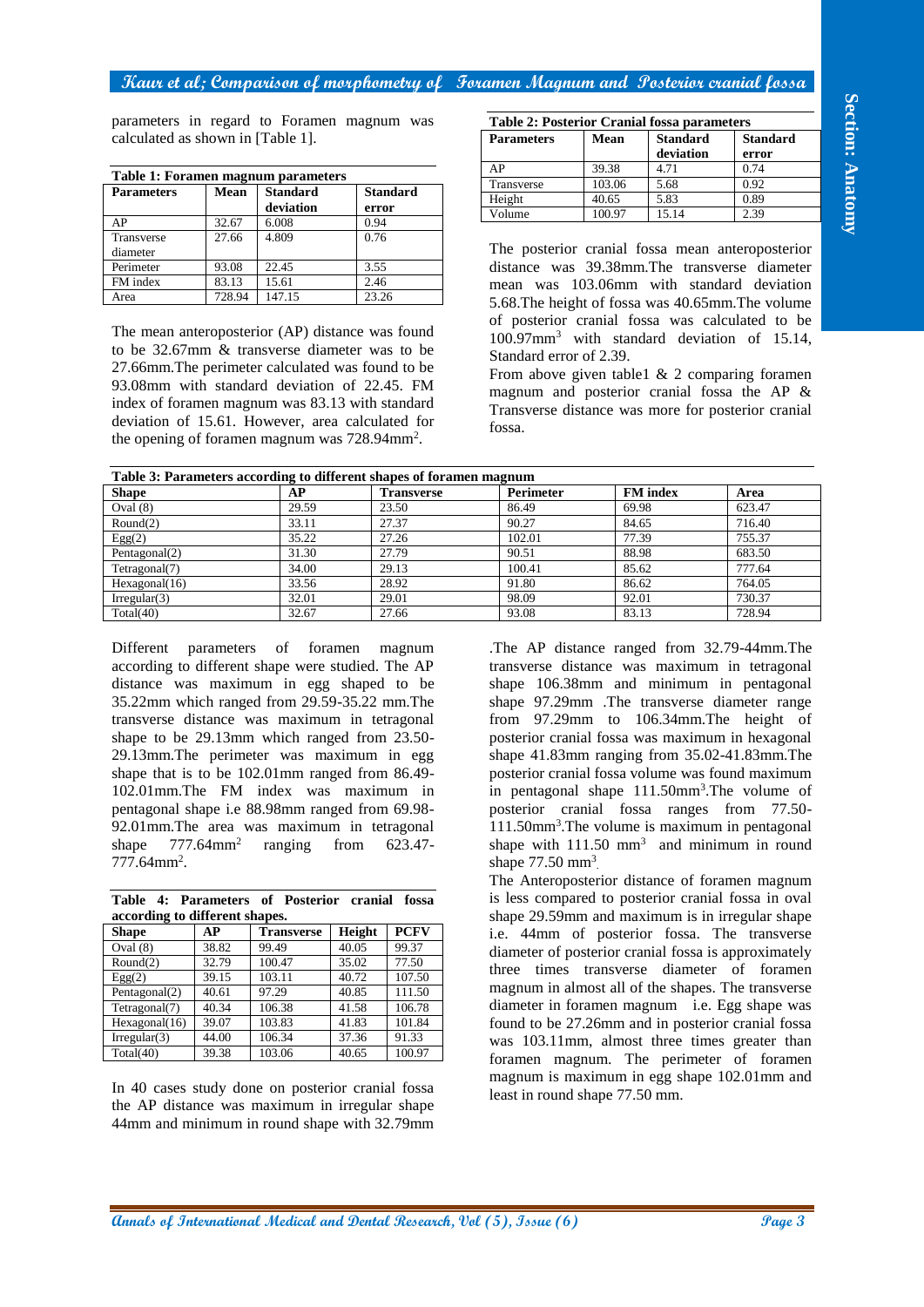## **Kaur et al; Comparison of morphometry of Foramen Magnum and Posterior cranial fossa**

| Table 1: Foramen magnum parameters |             |                              |                          |  |  |  |
|------------------------------------|-------------|------------------------------|--------------------------|--|--|--|
| <b>Parameters</b>                  | <b>Mean</b> | <b>Standard</b><br>deviation | <b>Standard</b><br>error |  |  |  |
| AP                                 | 32.67       | 6.008                        | 0.94                     |  |  |  |
| Transverse<br>diameter             | 27.66       | 4.809                        | 0.76                     |  |  |  |
| Perimeter                          | 93.08       | 22.45                        | 3.55                     |  |  |  |
| FM index                           | 83.13       | 15.61                        | 2.46                     |  |  |  |
| Area                               | 728.94      | 147.15                       | 23.26                    |  |  |  |

| <b>Table 2: Posterior Cranial fossa parameters</b> |        |                              |                          |  |  |  |
|----------------------------------------------------|--------|------------------------------|--------------------------|--|--|--|
| <b>Parameters</b>                                  | Mean   | <b>Standard</b><br>deviation | <b>Standard</b><br>error |  |  |  |
| ΑP                                                 | 39.38  | 4.71                         | 0.74                     |  |  |  |
| Transverse                                         | 103.06 | 5.68                         | 0.92                     |  |  |  |
| Height                                             | 40.65  | 5.83                         | 0.89                     |  |  |  |
| Volume                                             | 100.97 | 15.14                        | 2.39                     |  |  |  |

| calculated as shown in [Table 1].                                                                                                                                                                                            |                          | parameters in regard to Foramen magnum was |                 |                                                                                          | Table 2: Posterior Cranial fossa parameters                                                                                                                                                              |                 |                 |                                                          |
|------------------------------------------------------------------------------------------------------------------------------------------------------------------------------------------------------------------------------|--------------------------|--------------------------------------------|-----------------|------------------------------------------------------------------------------------------|----------------------------------------------------------------------------------------------------------------------------------------------------------------------------------------------------------|-----------------|-----------------|----------------------------------------------------------|
|                                                                                                                                                                                                                              |                          |                                            |                 |                                                                                          | <b>Parameters</b>                                                                                                                                                                                        | Mean            | <b>Standard</b> | <b>Standard</b>                                          |
|                                                                                                                                                                                                                              |                          |                                            |                 |                                                                                          |                                                                                                                                                                                                          |                 | deviation       | error                                                    |
| Table 1: Foramen magnum parameters                                                                                                                                                                                           |                          |                                            |                 |                                                                                          | AP<br>Transverse                                                                                                                                                                                         | 39.38<br>103.06 | 4.71<br>5.68    | 0.74<br>0.92                                             |
| <b>Parameters</b>                                                                                                                                                                                                            | Mean                     | <b>Standard</b>                            |                 | <b>Standard</b>                                                                          | Height                                                                                                                                                                                                   | 40.65           | 5.83            | 0.89                                                     |
| AP                                                                                                                                                                                                                           |                          | deviation                                  | error           |                                                                                          | Volume                                                                                                                                                                                                   | 100.97          | 15.14           | 2.39                                                     |
| Transverse                                                                                                                                                                                                                   | 32.67<br>27.66           | 6.008<br>4.809                             | 0.94<br>0.76    |                                                                                          |                                                                                                                                                                                                          |                 |                 |                                                          |
| diameter                                                                                                                                                                                                                     |                          |                                            |                 |                                                                                          | The posterior cranial fossa mean anteroposterior                                                                                                                                                         |                 |                 |                                                          |
| Perimeter                                                                                                                                                                                                                    | 93.08                    | 22.45                                      | 3.55            |                                                                                          | distance was 39.38mm. The transverse diameter                                                                                                                                                            |                 |                 |                                                          |
| FM index                                                                                                                                                                                                                     | 83.13                    | 15.61                                      | 2.46            |                                                                                          | mean was 103.06mm with standard deviation                                                                                                                                                                |                 |                 |                                                          |
| Area                                                                                                                                                                                                                         | 728.94                   | 147.15                                     | 23.26           |                                                                                          | 5.68. The height of fossa was 40.65mm. The volume                                                                                                                                                        |                 |                 |                                                          |
|                                                                                                                                                                                                                              |                          |                                            |                 |                                                                                          | of posterior cranial fossa was calculated to be                                                                                                                                                          |                 |                 |                                                          |
| The mean anteroposterior (AP) distance was found                                                                                                                                                                             |                          |                                            |                 |                                                                                          | 100.97mm <sup>3</sup> with standard deviation of 15.14,                                                                                                                                                  |                 |                 |                                                          |
| to be 32.67mm & transverse diameter was to be                                                                                                                                                                                |                          |                                            |                 |                                                                                          | Standard error of 2.39.                                                                                                                                                                                  |                 |                 |                                                          |
| 27.66mm. The perimeter calculated was found to be                                                                                                                                                                            |                          |                                            |                 |                                                                                          | From above given table $1 \& 2$ comparing foramen                                                                                                                                                        |                 |                 |                                                          |
| 93.08mm with standard deviation of 22.45. FM                                                                                                                                                                                 |                          |                                            |                 |                                                                                          | magnum and posterior cranial fossa the AP &                                                                                                                                                              |                 |                 |                                                          |
| index of foramen magnum was 83.13 with standard                                                                                                                                                                              |                          |                                            |                 |                                                                                          | Transverse distance was more for posterior cranial                                                                                                                                                       |                 |                 |                                                          |
| deviation of 15.61. However, area calculated for                                                                                                                                                                             |                          |                                            |                 |                                                                                          | fossa.                                                                                                                                                                                                   |                 |                 |                                                          |
| the opening of foramen magnum was 728.94mm <sup>2</sup> .                                                                                                                                                                    |                          |                                            |                 |                                                                                          |                                                                                                                                                                                                          |                 |                 |                                                          |
|                                                                                                                                                                                                                              |                          |                                            |                 |                                                                                          |                                                                                                                                                                                                          |                 |                 |                                                          |
| <b>Shape</b>                                                                                                                                                                                                                 |                          | AP                                         |                 | Table 3: Parameters according to different shapes of foramen magnum<br><b>Transverse</b> | Perimeter                                                                                                                                                                                                |                 | <b>FM</b> index |                                                          |
| Oval $(8)$                                                                                                                                                                                                                   |                          | 29.59                                      |                 | 23.50                                                                                    | 86.49                                                                                                                                                                                                    | 69.98           |                 | Area<br>623.47                                           |
| Round(2)                                                                                                                                                                                                                     |                          | 33.11                                      |                 | 27.37                                                                                    | 90.27                                                                                                                                                                                                    | 84.65           |                 | 716.40                                                   |
| Egg(2)                                                                                                                                                                                                                       |                          | 35.22                                      |                 | 27.26                                                                                    | 102.01                                                                                                                                                                                                   | 77.39           |                 | 755.37                                                   |
| Pentagonal(2)                                                                                                                                                                                                                |                          | 31.30                                      |                 | 27.79                                                                                    | 90.51                                                                                                                                                                                                    | 88.98           |                 | 683.50                                                   |
| Tetragonal(7)                                                                                                                                                                                                                |                          | 34.00                                      |                 | 29.13                                                                                    | 100.41                                                                                                                                                                                                   | 85.62           |                 | 777.64                                                   |
| Hexagonal(16)                                                                                                                                                                                                                |                          | 33.56                                      |                 | 28.92                                                                                    | 91.80                                                                                                                                                                                                    | 86.62           |                 | 764.05                                                   |
| Irregular(3)<br>Total(40)                                                                                                                                                                                                    |                          | 32.01<br>32.67                             |                 | 29.01<br>27.66                                                                           | 98.09<br>93.08                                                                                                                                                                                           | 92.01<br>83.13  |                 | 730.37<br>728.94                                         |
| shape to be 29.13mm which ranged from 23.50-                                                                                                                                                                                 |                          | 29.13mm. The perimeter was maximum in egg  |                 |                                                                                          | posterior cranial fossa was maximum in hexagonal<br>shape 41.83mm ranging from 35.02-41.83mm. The<br>posterior cranial fossa volume was found maximum                                                    |                 |                 |                                                          |
| shape that is to be 102.01mm ranged from 86.49-<br>102.01mm.The FM index was maximum in<br>pentagonal shape i.e 88.98mm ranged from 69.98-<br>92.01mm.The area was maximum in tetragonal<br>shape<br>777.64mm <sup>2</sup> . | $777.64$ mm <sup>2</sup> | ranging                                    | from            | 623.47-                                                                                  | posterior cranial fossa ranges from 77.50-<br>$111.50$ mm <sup>3</sup> . The volume is maximum in pentagonal<br>shape with $111.50$ mm <sup>3</sup> and minimum in round<br>shape $77.50 \text{ mm}^3$ . |                 |                 |                                                          |
|                                                                                                                                                                                                                              |                          |                                            |                 |                                                                                          | The Anteroposterior distance of foramen magnum<br>is less compared to posterior cranial fossa in oval                                                                                                    |                 |                 | in pentagonal shape 111.50mm <sup>3</sup> .The volume of |
|                                                                                                                                                                                                                              |                          |                                            |                 |                                                                                          | shape 29.59mm and maximum is in irregular shape                                                                                                                                                          |                 |                 |                                                          |
|                                                                                                                                                                                                                              | AP<br>38.82              | <b>Transverse</b><br>99.49                 | Height<br>40.05 | <b>PCFV</b><br>99.37                                                                     | i.e. 44mm of posterior fossa. The transverse                                                                                                                                                             |                 |                 |                                                          |
| Table 4: Parameters of Posterior cranial fossa<br>according to different shapes.<br><b>Shape</b><br>Oval $(8)$<br>Round(2)                                                                                                   | 32.79                    | 100.47                                     | 35.02           | 77.50                                                                                    | diameter of posterior cranial fossa is approximately                                                                                                                                                     |                 |                 |                                                          |
|                                                                                                                                                                                                                              | 39.15                    | 103.11                                     | 40.72           | 107.50                                                                                   | three times transverse diameter of foramen                                                                                                                                                               |                 |                 |                                                          |
|                                                                                                                                                                                                                              | 40.61                    | 97.29                                      | 40.85           | 111.50                                                                                   | magnum in almost all of the shapes. The transverse                                                                                                                                                       |                 |                 |                                                          |
| Egg(2)<br>Pentagonal(2)<br>Tetragonal(7)                                                                                                                                                                                     | 40.34                    | 106.38                                     | 41.58           | 106.78                                                                                   | diameter in foramen magnum i.e. Egg shape was                                                                                                                                                            |                 |                 |                                                          |
|                                                                                                                                                                                                                              | 39.07                    | 103.83                                     | 41.83           | 101.84                                                                                   | found to be 27.26mm and in posterior cranial fossa                                                                                                                                                       |                 |                 |                                                          |
| Hexagonal(16)<br>Irregular(3)<br>Total(40)                                                                                                                                                                                   | 44.00<br>39.38           | 106.34<br>103.06                           | 37.36<br>40.65  | 91.33<br>100.97                                                                          | was 103.11mm, almost three times greater than<br>foramen magnum. The perimeter of foramen                                                                                                                |                 |                 |                                                          |

|                                |  | Table 4: Parameters of Posterior cranial fossa |  |  |  |  |  |
|--------------------------------|--|------------------------------------------------|--|--|--|--|--|
| according to different shapes. |  |                                                |  |  |  |  |  |

| - - -           |       |                   |        |             |  |  |  |
|-----------------|-------|-------------------|--------|-------------|--|--|--|
| <b>Shape</b>    | АP    | <b>Transverse</b> | Height | <b>PCFV</b> |  |  |  |
| Oval $(8)$      | 38.82 | 99.49             | 40.05  | 99.37       |  |  |  |
| Round(2)        | 32.79 | 100.47            | 35.02  | 77.50       |  |  |  |
| Egg(2)          | 39.15 | 103.11            | 40.72  | 107.50      |  |  |  |
| Pentagonal(2)   | 40.61 | 97.29             | 40.85  | 111.50      |  |  |  |
| Tetragonal(7)   | 40.34 | 106.38            | 41.58  | 106.78      |  |  |  |
| Hexagonal(16)   | 39.07 | 103.83            | 41.83  | 101.84      |  |  |  |
| Irregular $(3)$ | 44.00 | 106.34            | 37.36  | 91.33       |  |  |  |
| Total(40)       | 39.38 | 103.06            | 40.65  | 100.97      |  |  |  |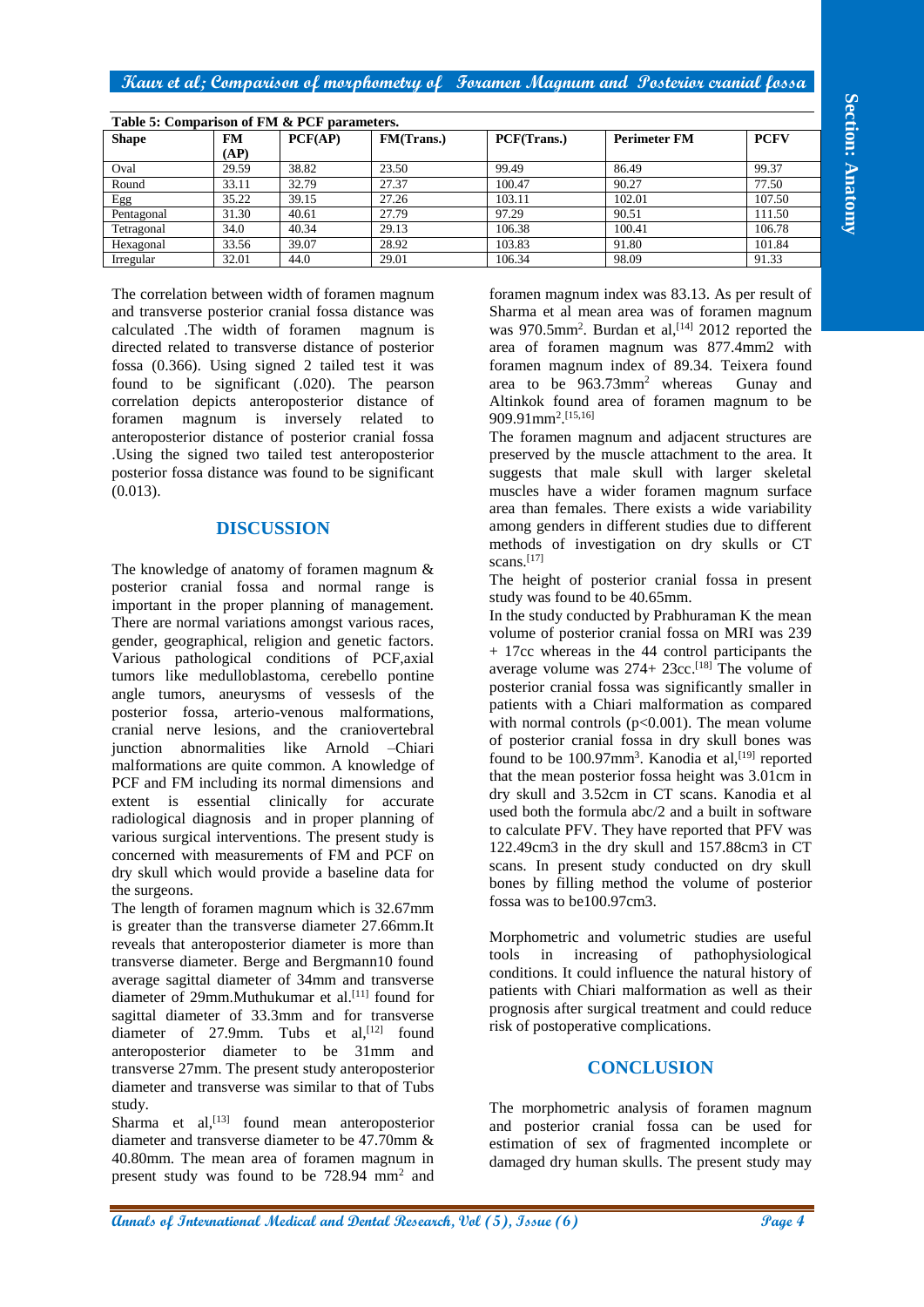| Table 5: Comparison of FM & PCF parameters. |       |         |            |             |                     |             |  |
|---------------------------------------------|-------|---------|------------|-------------|---------------------|-------------|--|
| <b>Shape</b>                                | FM    | PCF(AP) | FM(Trans.) | PCF(Trans.) | <b>Perimeter FM</b> | <b>PCFV</b> |  |
|                                             | (AP)  |         |            |             |                     |             |  |
| Oval                                        | 29.59 | 38.82   | 23.50      | 99.49       | 86.49               | 99.37       |  |
| Round                                       | 33.11 | 32.79   | 27.37      | 100.47      | 90.27               | 77.50       |  |
| Egg                                         | 35.22 | 39.15   | 27.26      | 103.11      | 102.01              | 107.50      |  |
| Pentagonal                                  | 31.30 | 40.61   | 27.79      | 97.29       | 90.51               | 111.50      |  |
| Tetragonal                                  | 34.0  | 40.34   | 29.13      | 106.38      | 100.41              | 106.78      |  |
| Hexagonal                                   | 33.56 | 39.07   | 28.92      | 103.83      | 91.80               | 101.84      |  |
| Irregular                                   | 32.01 | 44.0    | 29.01      | 106.34      | 98.09               | 91.33       |  |

The correlation between width of foramen magnum and transverse posterior cranial fossa distance was calculated .The width of foramen magnum is directed related to transverse distance of posterior fossa (0.366). Using signed 2 tailed test it was found to be significant (.020). The pearson correlation depicts anteroposterior distance of foramen magnum is inversely related to anteroposterior distance of posterior cranial fossa .Using the signed two tailed test anteroposterior posterior fossa distance was found to be significant (0.013).

# **DISCUSSION**

**Take 2.6 organization (and 2.6 organization**  $\frac{1}{2}$  **And**  $\frac{1}{2}$  **And**  $\frac{1}{2}$  **Page 4 And**  $\frac{1}{2}$  **And**  $\frac{1}{2}$  **And**  $\frac{1}{2}$  **And**  $\frac{1}{2}$  **And**  $\frac{1}{2}$  **And**  $\frac{1}{2}$  **Bag**  $\frac{1}{2}$  **Bag \frac{1}{2** The knowledge of anatomy of foramen magnum & posterior cranial fossa and normal range is important in the proper planning of management. There are normal variations amongst various races, gender, geographical, religion and genetic factors. Various pathological conditions of PCF,axial tumors like medulloblastoma, cerebello pontine angle tumors, aneurysms of vessesls of the posterior fossa, arterio-venous malformations, cranial nerve lesions, and the craniovertebral junction abnormalities like Arnold –Chiari malformations are quite common. A knowledge of PCF and FM including its normal dimensions and extent is essential clinically for accurate radiological diagnosis and in proper planning of various surgical interventions. The present study is concerned with measurements of FM and PCF on dry skull which would provide a baseline data for the surgeons.

The length of foramen magnum which is 32.67mm is greater than the transverse diameter 27.66mm.It reveals that anteroposterior diameter is more than transverse diameter. Berge and Bergmann10 found average sagittal diameter of 34mm and transverse diameter of 29mm.Muthukumar et al. [11] found for sagittal diameter of 33.3mm and for transverse diameter of 27.9mm. Tubs et al.<sup>[12]</sup> found anteroposterior diameter to be 31mm and transverse 27mm. The present study anteroposterior diameter and transverse was similar to that of Tubs study.

Sharma et al,<sup>[13]</sup> found mean anteroposterior diameter and transverse diameter to be 47.70mm & 40.80mm. The mean area of foramen magnum in present study was found to be 728.94 mm<sup>2</sup> and foramen magnum index was 83.13. As per result of Sharma et al mean area was of foramen magnum was  $970.5$ mm<sup>2</sup>. Burdan et al,<sup>[14]</sup> 2012 reported the area of foramen magnum was 877.4mm2 with foramen magnum index of 89.34. Teixera found area to be 963.73mm<sup>2</sup> whereas Gunay and Altinkok found area of foramen magnum to be 909.91mm<sup>2</sup> . [15,16]

The foramen magnum and adjacent structures are preserved by the muscle attachment to the area. It suggests that male skull with larger skeletal muscles have a wider foramen magnum surface area than females. There exists a wide variability among genders in different studies due to different methods of investigation on dry skulls or CT scans. [17]

The height of posterior cranial fossa in present study was found to be 40.65mm.

In the study conducted by Prabhuraman K the mean volume of posterior cranial fossa on MRI was 239 + 17cc whereas in the 44 control participants the average volume was 274+ 23cc. [18] The volume of posterior cranial fossa was significantly smaller in patients with a Chiari malformation as compared with normal controls  $(p<0.001)$ . The mean volume of posterior cranial fossa in dry skull bones was found to be  $100.97$ mm<sup>3</sup>. Kanodia et al, [19] reported that the mean posterior fossa height was 3.01cm in dry skull and 3.52cm in CT scans. Kanodia et al used both the formula abc/2 and a built in software to calculate PFV. They have reported that PFV was 122.49cm3 in the dry skull and 157.88cm3 in CT scans. In present study conducted on dry skull bones by filling method the volume of posterior fossa was to be100.97cm3.

Morphometric and volumetric studies are useful tools in increasing of pathophysiological conditions. It could influence the natural history of patients with Chiari malformation as well as their prognosis after surgical treatment and could reduce risk of postoperative complications.

## **CONCLUSION**

The morphometric analysis of foramen magnum and posterior cranial fossa can be used for estimation of sex of fragmented incomplete or damaged dry human skulls. The present study may